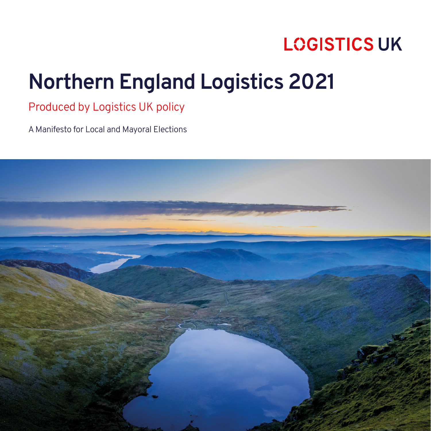# **Northern England Logistics 2021**

Produced by Logistics UK policy

A Manifesto for Local and Mayoral Elections

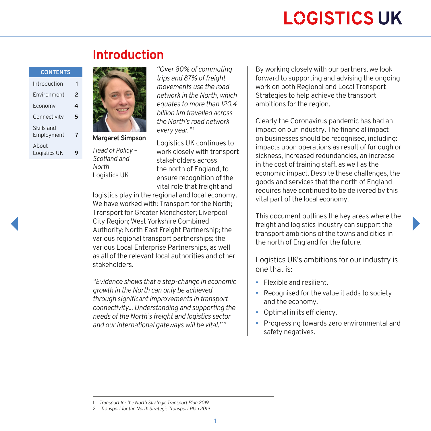#### **CONTENTS**

| Introduction             |   |
|--------------------------|---|
| Environment              | 2 |
| Economy                  | 4 |
| Connectivity             | 5 |
| Skills and<br>Employment | 7 |
| About<br>Logistics UK    |   |



**Margaret Simpson**

*Head of Policy – Scotland and North* Logistics UK

*"Over 80% of commuting trips and 87% of freight movements use the road network in the North, which equates to more than 120.4 billion km travelled across the North's road network every year."* <sup>1</sup>

Logistics UK continues to work closely with transport stakeholders across the north of England, to ensure recognition of the vital role that freight and

logistics play in the regional and local economy. We have worked with: Transport for the North; Transport for Greater Manchester; Liverpool City Region; West Yorkshire Combined Authority; North East Freight Partnership; the various regional transport partnerships; the various Local Enterprise Partnerships, as well as all of the relevant local authorities and other stakeholders.

*"Evidence shows that a step-change in economic growth in the North can only be achieved through significant improvements in transport connectivity... Understanding and supporting the needs of the North's freight and logistics sector and our international gateways will be vital." 2*

By working closely with our partners, we look forward to supporting and advising the ongoing work on both Regional and Local Transport Strategies to help achieve the transport ambitions for the region.

Clearly the Coronavirus pandemic has had an impact on our industry. The financial impact on businesses should be recognised, including: impacts upon operations as result of furlough or sickness, increased redundancies, an increase in the cost of training staff, as well as the economic impact. Despite these challenges, the goods and services that the north of England requires have continued to be delivered by this vital part of the local economy.

This document outlines the key areas where the freight and logistics industry can support the transport ambitions of the towns and cities in the north of England for the future.

Logistics UK's ambitions for our industry is one that is:

- Flexible and resilient.
- Recognised for the value it adds to society and the economy.
- Optimal in its efficiency.
- Progressing towards zero environmental and safety negatives.

<sup>1</sup> *Transport for the North Strategic Transport Plan 2019*

<sup>2</sup> *Transport for the North Strategic Transport Plan 2019*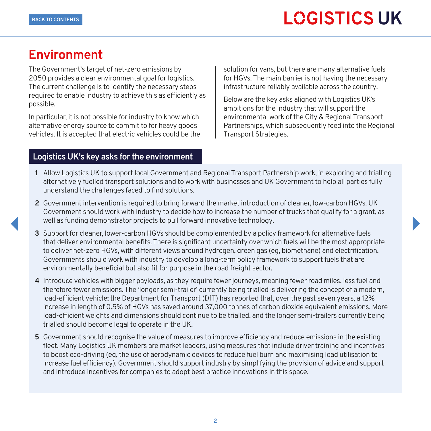### <span id="page-2-0"></span>**Environment**

The Government's target of net-zero emissions by 2050 provides a clear environmental goal for logistics. The current challenge is to identify the necessary steps required to enable industry to achieve this as efficiently as possible.

In particular, it is not possible for industry to know which alternative energy source to commit to for heavy goods vehicles. It is accepted that electric vehicles could be the

#### **Logistics UK's key asks for the environment**

solution for vans, but there are many alternative fuels for HGVs. The main barrier is not having the necessary infrastructure reliably available across the country.

Below are the key asks aligned with Logistics UK's ambitions for the industry that will support the environmental work of the City & Regional Transport Partnerships, which subsequently feed into the Regional Transport Strategies.

- **1** Allow Logistics UK to support local Government and Regional Transport Partnership work, in exploring and trialling alternatively fuelled transport solutions and to work with businesses and UK Government to help all parties fully understand the challenges faced to find solutions.
- **2** Government intervention is required to bring forward the market introduction of cleaner, low-carbon HGVs. UK Government should work with industry to decide how to increase the number of trucks that qualify for a grant, as well as funding demonstrator projects to pull forward innovative technology.
- **3** Support for cleaner, lower-carbon HGVs should be complemented by a policy framework for alternative fuels that deliver environmental benefits. There is significant uncertainty over which fuels will be the most appropriate to deliver net-zero HGVs, with different views around hydrogen, green gas (eg, biomethane) and electrification. Governments should work with industry to develop a long-term policy framework to support fuels that are environmentally beneficial but also fit for purpose in the road freight sector.
- **4** Introduce vehicles with bigger payloads, as they require fewer journeys, meaning fewer road miles, less fuel and therefore fewer emissions. The 'longer semi-trailer' currently being trialled is delivering the concept of a modern, load-efficient vehicle; the Department for Transport (DfT) has reported that, over the past seven years, a 12% increase in length of 0.5% of HGVs has saved around 37,000 tonnes of carbon dioxide equivalent emissions. More load-efficient weights and dimensions should continue to be trialled, and the longer semi-trailers currently being trialled should become legal to operate in the UK.
- **5** Government should recognise the value of measures to improve efficiency and reduce emissions in the existing fleet. Many Logistics UK members are market leaders, using measures that include driver training and incentives to boost eco-driving (eg, the use of aerodynamic devices to reduce fuel burn and maximising load utilisation to increase fuel efficiency). Government should support industry by simplifying the provision of advice and support and introduce incentives for companies to adopt best practice innovations in this space.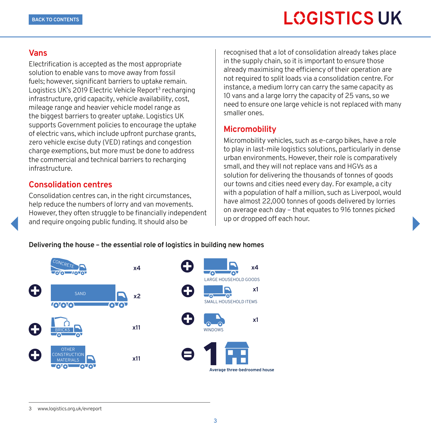#### **Vans**

Electrification is accepted as the most appropriate solution to enable vans to move away from fossil fuels; however, significant barriers to uptake remain. Logistics UK's 2019 Electric Vehicle Report<sup>3</sup> recharging infrastructure, grid capacity, vehicle availability, cost, mileage range and heavier vehicle model range as the biggest barriers to greater uptake. Logistics UK supports Government policies to encourage the uptake of electric vans, which include upfront purchase grants, zero vehicle excise duty (VED) ratings and congestion charge exemptions, but more must be done to address the commercial and technical barriers to recharging infrastructure.

#### **Consolidation centres**

Consolidation centres can, in the right circumstances, help reduce the numbers of lorry and van movements. However, they often struggle to be financially independent and require ongoing public funding. It should also be

recognised that a lot of consolidation already takes place in the supply chain, so it is important to ensure those already maximising the efficiency of their operation are not required to split loads via a consolidation centre. For instance, a medium lorry can carry the same capacity as 10 vans and a large lorry the capacity of 25 vans, so we need to ensure one large vehicle is not replaced with many smaller ones.

#### **Micromobility**

Micromobility vehicles, such as e-cargo bikes, have a role to play in last-mile logistics solutions, particularly in dense urban environments. However, their role is comparatively small, and they will not replace vans and HGVs as a solution for delivering the thousands of tonnes of goods our towns and cities need every day. For example, a city with a population of half a million, such as Liverpool, would have almost 22,000 tonnes of goods delivered by lorries on average each day – that equates to 916 tonnes picked up or dropped off each hour.

#### **Delivering the house – the essential role of logistics in building new homes**



#### 3 [www.logistics.org.uk/evreport](http://www.logistics.org.uk/evreport)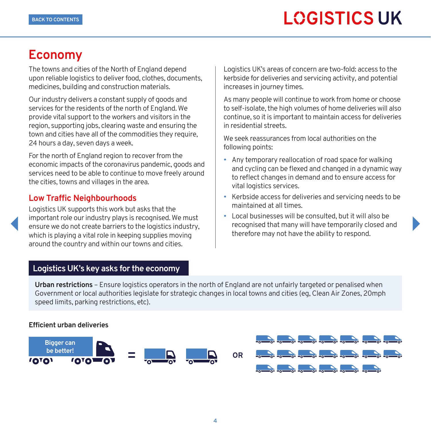### <span id="page-4-0"></span>**Economy**

The towns and cities of the North of England depend upon reliable logistics to deliver food, clothes, documents, medicines, building and construction materials.

Our industry delivers a constant supply of goods and services for the residents of the north of England. We provide vital support to the workers and visitors in the region, supporting jobs, clearing waste and ensuring the town and cities have all of the commodities they require, 24 hours a day, seven days a week.

For the north of England region to recover from the economic impacts of the coronavirus pandemic, goods and services need to be able to continue to move freely around the cities, towns and villages in the area.

### **Low Traffic Neighbourhoods**

Logistics UK supports this work but asks that the important role our industry plays is recognised. We must ensure we do not create barriers to the logistics industry, which is playing a vital role in keeping supplies moving around the country and within our towns and cities.

Logistics UK's areas of concern are two-fold: access to the kerbside for deliveries and servicing activity, and potential increases in journey times.

As many people will continue to work from home or choose to self-isolate, the high volumes of home deliveries will also continue, so it is important to maintain access for deliveries in residential streets.

We seek reassurances from local authorities on the following points:

- Any temporary reallocation of road space for walking and cycling can be flexed and changed in a dynamic way to reflect changes in demand and to ensure access for vital logistics services.
- Kerbside access for deliveries and servicing needs to be maintained at all times.
- Local businesses will be consulted, but it will also be recognised that many will have temporarily closed and therefore may not have the ability to respond.

### **Logistics UK's key asks for the economy**

**Urban restrictions** – Ensure logistics operators in the north of England are not unfairly targeted or penalised when Government or local authorities legislate for strategic changes in local towns and cities (eg, Clean Air Zones, 20mph speed limits, parking restrictions, etc).

#### **Efficient urban deliveries**



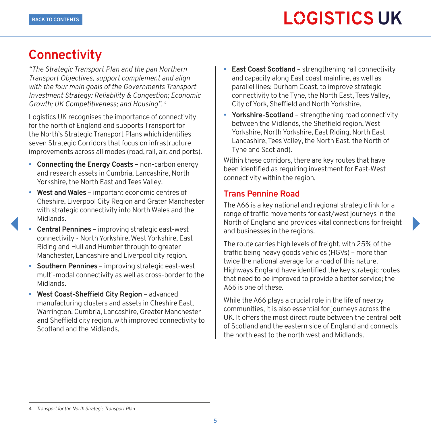### <span id="page-5-0"></span>**Connectivity**

*"The Strategic Transport Plan and the pan Northern Transport Objectives, support complement and align with the four main goals of the Governments Transport Investment Strategy: Reliability & Congestion; Economic Growth; UK Competitiveness; and Housing". 4*

Logistics UK recognises the importance of connectivity for the north of England and supports Transport for the North's Strategic Transport Plans which identifies seven Strategic Corridors that focus on infrastructure improvements across all modes (road, rail, air, and ports).

- **• Connecting the Energy Coasts** non-carbon energy and research assets in Cumbria, Lancashire, North Yorkshire, the North East and Tees Valley.
- **• West and Wales** important economic centres of Cheshire, Liverpool City Region and Grater Manchester with strategic connectivity into North Wales and the Midlands.
- **• Central Pennines** improving strategic east-west connectivity - North Yorkshire, West Yorkshire, East Riding and Hull and Humber through to greater Manchester, Lancashire and Liverpool city region.
- **• Southern Pennines** improving strategic east-west multi-modal connectivity as well as cross-border to the Midlands.
- **• West Coast-Sheffield City Region** advanced manufacturing clusters and assets in Cheshire East, Warrington, Cumbria, Lancashire, Greater Manchester and Sheffield city region, with improved connectivity to Scotland and the Midlands.
- **• East Coast Scotland** strengthening rail connectivity and capacity along East coast mainline, as well as parallel lines: Durham Coast, to improve strategic connectivity to the Tyne, the North East, Tees Valley, City of York, Sheffield and North Yorkshire.
- **• Yorkshire-Scotland**  strengthening road connectivity between the Midlands, the Sheffield region, West Yorkshire, North Yorkshire, East Riding, North East Lancashire, Tees Valley, the North East, the North of Tyne and Scotland).

Within these corridors, there are key routes that have been identified as requiring investment for East-West connectivity within the region.

#### **Trans Pennine Road**

The A66 is a key national and regional strategic link for a range of traffic movements for east/west journeys in the North of England and provides vital connections for freight and businesses in the regions.

The route carries high levels of freight, with 25% of the traffic being heavy goods vehicles (HGVs) – more than twice the national average for a road of this nature. Highways England have identified the key strategic routes that need to be improved to provide a better service; the A66 is one of these.

While the A66 plays a crucial role in the life of nearby communities, it is also essential for journeys across the UK. It offers the most direct route between the central belt of Scotland and the eastern side of England and connects the north east to the north west and Midlands.

#### 4 *Transport for the North Strategic Transport Plan*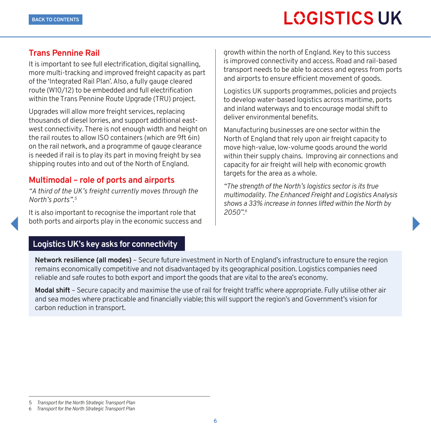#### **Trans Pennine Rail**

It is important to see full electrification, digital signalling, more multi-tracking and improved freight capacity as part of the 'Integrated Rail Plan'. Also, a fully gauge cleared route (W10/12) to be embedded and full electrification within the Trans Pennine Route Upgrade (TRU) project.

Upgrades will allow more freight services, replacing thousands of diesel lorries, and support additional eastwest connectivity. There is not enough width and height on the rail routes to allow ISO containers (which are 9ft 6in) on the rail network, and a programme of gauge clearance is needed if rail is to play its part in moving freight by sea shipping routes into and out of the North of England.

### **Multimodal – role of ports and airports**

*"A third of the UK's freight currently moves through the North's ports".5*

It is also important to recognise the important role that both ports and airports play in the economic success and

growth within the north of England. Key to this success is improved connectivity and access. Road and rail-based transport needs to be able to access and egress from ports and airports to ensure efficient movement of goods.

Logistics UK supports programmes, policies and projects to develop water-based logistics across maritime, ports and inland waterways and to encourage modal shift to deliver environmental benefits.

Manufacturing businesses are one sector within the North of England that rely upon air freight capacity to move high-value, low-volume goods around the world within their supply chains. Improving air connections and capacity for air freight will help with economic growth targets for the area as a whole.

*"The strength of the North's logistics sector is its true multimodality. The Enhanced Freight and Logistics Analysis shows a 33% increase in tonnes lifted within the North by 2050".6*

#### **Logistics UK's key asks for connectivity**

**Network resilience (all modes)** – Secure future investment in North of England's infrastructure to ensure the region remains economically competitive and not disadvantaged by its geographical position. Logistics companies need reliable and safe routes to both export and import the goods that are vital to the area's economy.

**Modal shift** – Secure capacity and maximise the use of rail for freight traffic where appropriate. Fully utilise other air and sea modes where practicable and financially viable; this will support the region's and Government's vision for carbon reduction in transport.

<sup>5</sup> *Transport for the North Strategic Transport Plan*

<sup>6</sup> *Transport for the North Strategic Transport Plan*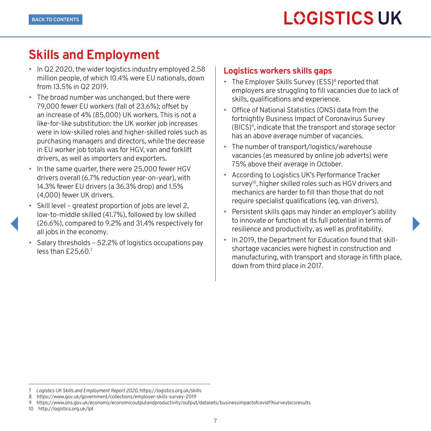### <span id="page-7-0"></span>**Skills and Employment**

- In Q2 2020, the wider logistics industry employed 2.58 million people, of which 10.4% were EU nationals, down from 13.5% in Q2 2019.
- The broad number was unchanged, but there were 79,000 fewer EU workers (fall of 23.6%); offset by an increase of 4% (85,000) UK workers. This is not a like-for-like substitution: the UK worker job increases were in low-skilled roles and higher-skilled roles such as purchasing managers and directors, while the decrease in EU worker job totals was for HGV, van and forklift drivers, as well as importers and exporters.
- In the same quarter, there were 25,000 fewer HGV drivers overall (6.7% reduction year-on-year), with 14.3% fewer EU drivers (a 36.3% drop) and 1.5% (4,000) fewer UK drivers.
- Skill level greatest proportion of jobs are level 2, low-to-middle skilled (41.7%), followed by low skilled (26.6%), compared to 9.2% and 31.4% respectively for all jobs in the economy.
- Salary thresholds 52.2% of logistics occupations pay less than £25,60.7

#### **Logistics workers skills gaps**

- The Employer Skills Survey (ESS)<sup>8</sup> reported that employers are struggling to fill vacancies due to lack of skills, qualifications and experience.
- Office of National Statistics (ONS) data from the fortnightly Business Impact of Coronavirus Survey (BICS)9, indicate that the transport and storage sector has an above average number of vacancies.
- The number of transport/logistics/warehouse vacancies (as measured by online job adverts) were 75% above their average in October.
- According to Logistics UK's Performance Tracker survey<sup>10</sup>, higher skilled roles such as HGV drivers and mechanics are harder to fill than those that do not require specialist qualifications (eg, van drivers).
- Persistent skills gaps may hinder an employer's ability to innovate or function at its full potential in terms of resilience and productivity, as well as profitability.
- In 2019, the Department for Education found that skillshortage vacancies were highest in construction and manufacturing, with transport and storage in fifth place, down from third place in 2017.

<sup>7</sup> *Logistics UK Skills and Employment Report 2020,* https://logistics.org.uk/skills

<sup>8</sup> <https://www.gov.uk/government/collections/employer-skills-survey-2019>

<sup>9</sup> <https://www.ons.gov.uk/economy/economicoutputandproductivity/output/datasets/businessimpactofcovid19surveybicsresults>

<sup>10</sup> <http://logistics.org.uk/lpt>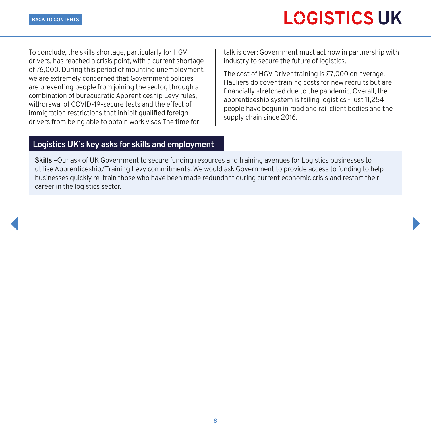To conclude, the skills shortage, particularly for HGV drivers, has reached a crisis point, with a current shortage of 76,000. During this period of mounting unemployment, we are extremely concerned that Government policies are preventing people from joining the sector, through a combination of bureaucratic Apprenticeship Levy rules, withdrawal of COVID-19-secure tests and the effect of immigration restrictions that inhibit qualified foreign drivers from being able to obtain work visas The time for

talk is over: Government must act now in partnership with industry to secure the future of logistics.

The cost of HGV Driver training is £7,000 on average. Hauliers do cover training costs for new recruits but are financially stretched due to the pandemic. Overall, the apprenticeship system is failing logistics - just 11,254 people have begun in road and rail client bodies and the supply chain since 2016.

#### **Logistics UK's key asks for skills and employment**

**Skills** –Our ask of UK Government to secure funding resources and training avenues for Logistics businesses to utilise Apprenticeship/Training Levy commitments. We would ask Government to provide access to funding to help businesses quickly re-train those who have been made redundant during current economic crisis and restart their career in the logistics sector.